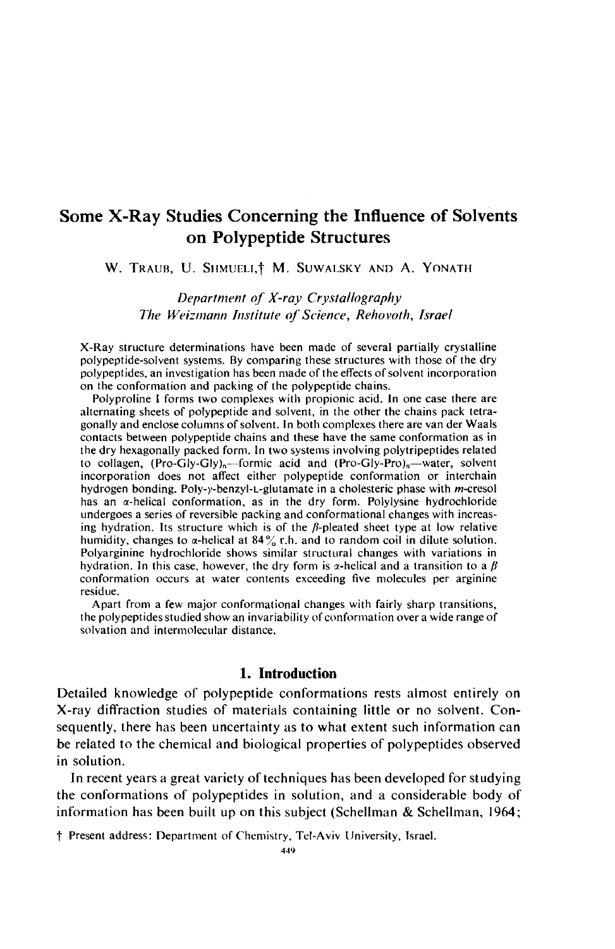# **Some X-Ray Studies Concerning the Influence of Solvents on Polypeptide Structures**

W. TRAUB, U. SHMUELI,<sup>†</sup> M. SUWALSKY AND A. YONATH

*Department of X-ray Crystallography The Weizmann Institute of Science, Rehovoth, Israel* 

**X-Ray structure determinations have been made of several partially crystalline polypeptide-solvent systems. By comparing these structures with those of the dry polypeptides, an investigation has been made of the effects of solvent incorporation on the conformation and packing of the polypeptide chains.** 

**Polyproline I forms two complexes with propionic acid. In one case there are alternating sheets of polypeptide and solvent, in the other the chains pack tetra**gonally and enclose columns of solvent. In both complexes there are van der Waals **contacts between polypeptide chains and these have the same conformation as in the dry hexagonally packed form. In two systems involving polytripeptides related to collagen, (Pro-Gly-Gly)n—formic acid and (Pro-Gly-Pro)n—water, solvent incorporation does not affect either polypeptide conformation or interchain hydrogen bonding. Poly-y-benzyl-L-glutamate in a cholesteric phase with m-cresol has an α-helical conformation, as in the dry form. Polylysine hydrochloride undergoes a series of reversible packing and conformational changes with increas**ing hydration. Its structure which is of the  $\beta$ -pleated sheet type at low relative **humidity, changes to a-helical at 84% r.h. and to random coil in dilute solution. Polyarginine hydrochloride shows similar structural changes with variations in**  hydration. In this case, however, the dry form is  $\alpha$ -helical and a transition to a  $\beta$ **conformation occurs at water contents exceeding five molecules per arginine residue.** 

**Apart from a few major conformational changes with fairly sharp transitions, the polypeptides studied show an invariability of conformation over a wide range of solvation and intermolecular distance.** 

# **1. Introduction**

Detailed knowledge of polypeptide conformations rests almost entirely on X-ray diffraction studies of materials containing little or no solvent. Consequently, there has been uncertainty as to what extent such information can be related to the chemical and biological properties of polypeptides observed in solution.

In recent years a great variety of techniques has been developed for studying the conformations of polypeptides in solution, and a considerable body of information has been built up on this subject (Schellman & Schellman, 1964;

**t Present address: Department of Chemistry, Tel-Aviv University, Israel.**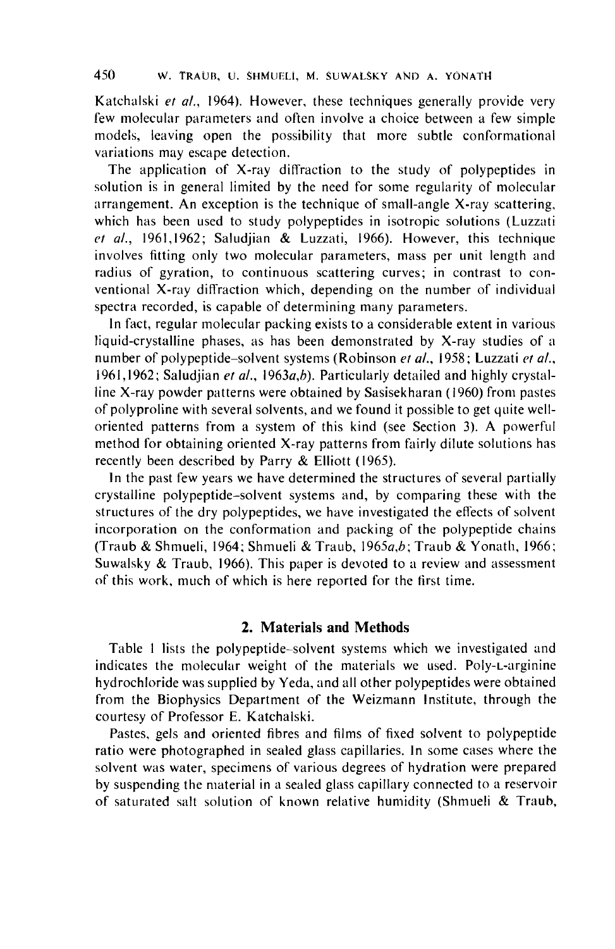Katchalski *et ai,* 1964). However, these techniques generally provide very few molecular parameters and often involve a choice between a few simple models, leaving open the possibility that more subtle conformational variations may escape detection.

The application of X-ray diffraction to the study of polypeptides in solution is in general limited by the need for some regularity of molecular arrangement. An exception is the technique of small-angle X-ray scattering, which has been used to study polypeptides in isotropie solutions (Luzzati *et al.,* 1961,1962; Saludjian & Luzzati, 1966). However, this technique involves fitting only two molecular parameters, mass per unit length and radius of gyration, to continuous scattering curves; in contrast to conventional X-ray diffraction which, depending on the number of individual spectra recorded, is capable of determining many parameters.

In fact, regular molecular packing exists to a considerable extent in various liquid-crystalline phases, as has been demonstrated by X-ray studies of a number of polypeptide-solvent systems (Robinson *et al.,* 1958; Luzzati *et al.,*  1961,1962; Saludjian *et al., \963a,b).* Particularly detailed and highly crystalline X-ray powder patterns were obtained by Sasisekharan (1960) from pastes of polyproline with several solvents, and we found it possible to get quite welloriented patterns from a system of this kind (see Section 3). A powerful method for obtaining oriented X-ray patterns from fairly dilute solutions has recently been described by Parry & Elliott (1965).

In the past few years we have determined the structures of several partially crystalline polypeptide-solvent systems and, by comparing these with the structures of the dry polypeptides, we have investigated the effects of solvent incorporation on the conformation and packing of the polypeptide chains (Traub & Shmueli, 1964; Shmueli & Traub, 1965a,6; Traub & Yonath, 1966; Suwalsky & Traub, 1966). This paper is devoted to a review and assessment of this work, much of which is here reported for the first time.

### **2. Materials and Methods**

Table 1 lists the polypeptide-solvent systems which we investigated and indicates the molecular weight of the materials we used. Poly-L-arginine hydrochloride was supplied by Yeda, and all other polypeptides were obtained from the Biophysics Department of the Weizmann Institute, through the courtesy of Professor E. Katchalski.

Pastes, gels and oriented fibres and films of fixed solvent to polypeptide ratio were photographed in sealed glass capillaries. In some cases where the solvent was water, specimens of various degrees of hydration were prepared by suspending the material in a sealed glass capillary connected to a reservoir of saturated salt solution of known relative humidity (Shmueli & Traub,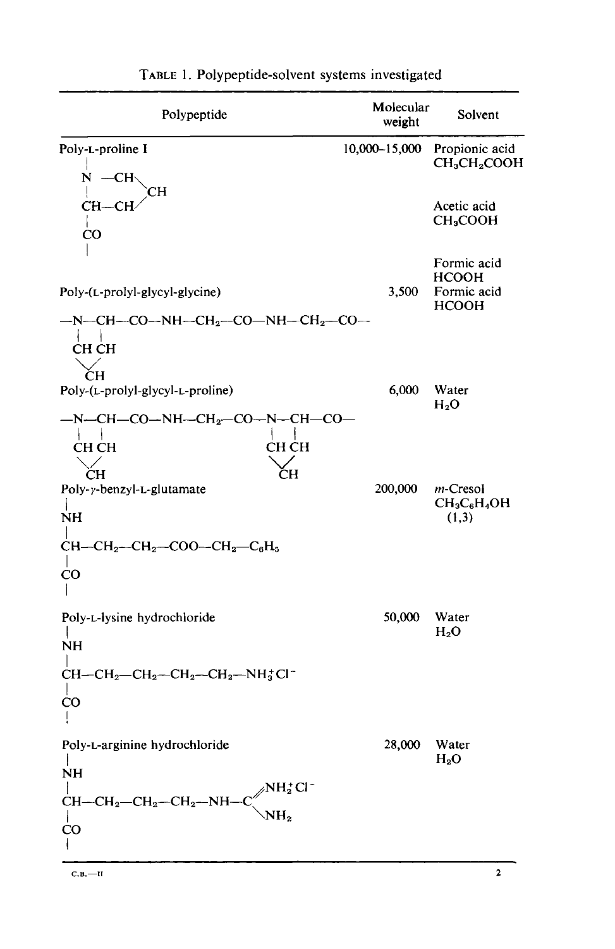| Polypeptide                                                                                                | Molecular<br>weight | Solvent                                                    |  |
|------------------------------------------------------------------------------------------------------------|---------------------|------------------------------------------------------------|--|
| Poly-L-proline I<br>N -<br>-CH^                                                                            | $10,000 - 15,000$   | Propionic acid<br>CH <sub>3</sub> CH <sub>2</sub> COOH     |  |
| CН<br>CH—CH<br>f<br>$_{\rm CO}$                                                                            |                     | Acetic acid<br>CH <sub>3</sub> COOH                        |  |
| Poly-(L-prolyl-glycyl-glycine)<br>$-N-CH-CO-NH-CH_2-CO-NH-CH_2-CO-$                                        | 3,500               | Formic acid<br><b>HCOOH</b><br>Formic acid<br><b>HCOOH</b> |  |
| CH CH<br>čн                                                                                                |                     |                                                            |  |
| Poly-(L-prolyl-glycyl-L-proline)<br>—N—CH—CO—NH—CH <sub>2</sub> —CO—N—CH—CO—<br>CH CH<br>CH CH<br>ČН<br>CН | 6,000               | Water<br>$H_2O$                                            |  |
| Poly-y-benzyl-L-glutamate<br><b>NH</b><br>$CH - CH_2 - CH_2 - COO - CH_2 - C_6H_5$                         | 200,000             | $m$ -Cresol<br>$CH_3C_6H_4OH$<br>(1,3)                     |  |
| CO                                                                                                         |                     |                                                            |  |
| Poly-L-lysine hydrochloride<br><b>NH</b>                                                                   | 50,000              | Water<br>$H_2O$                                            |  |
| $CH - CH_2 - CH_2 - CH_2 - CH_2 - NH_3 + Cl$<br>$_{\rm CO}$                                                |                     |                                                            |  |
| Poly-L-arginine hydrochloride<br>NH<br>ANH, CI-<br>$CH-CH_2-CH_2-CH_2-NH-C$<br>co                          | 28,000              | Water<br>H <sub>2</sub> O                                  |  |

 $C.B.$ —II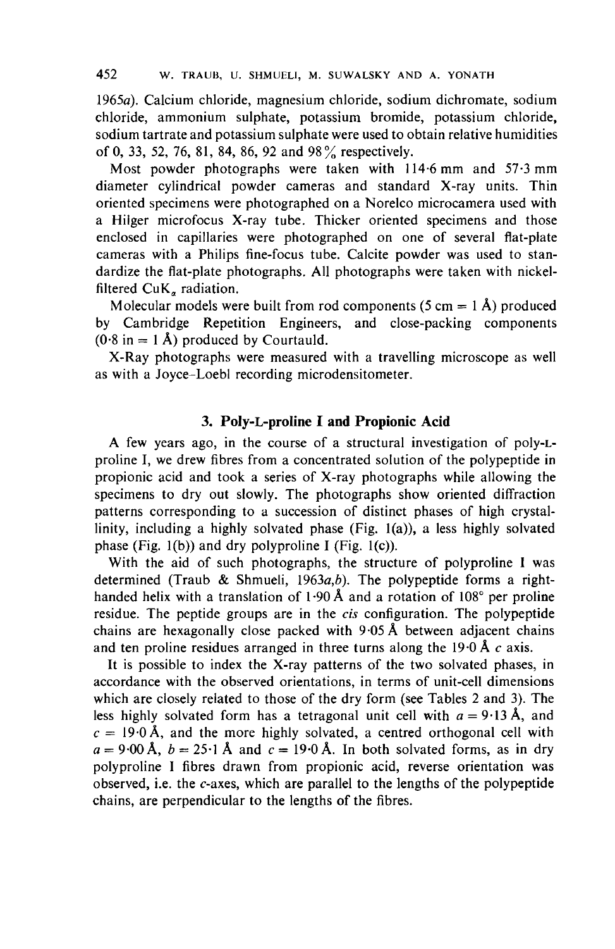1965a). Calcium chloride, magnesium chloride, sodium dichromate, sodium chloride, ammonium sulphate, potassium bromide, potassium chloride, sodium tartrate and potassium sulphate were used to obtain relative humidities of 0, 33, 52, 76, 81, 84, 86, 92 and 98% respectively.

Most powder photographs were taken with 114-6 mm and 57-3 mm diameter cylindrical powder cameras and standard X-ray units. Thin oriented specimens were photographed on a Norelco microcamera used with a Hilger microfocus X-ray tube. Thicker oriented specimens and those enclosed in capillaries were photographed on one of several flat-plate cameras with a Philips fine-focus tube. Calcite powder was used to standardize the flat-plate photographs. All photographs were taken with nickelfiltered  $CuK_a$  radiation.

Molecular models were built from rod components (5 cm =  $1 \text{ Å}$ ) produced by Cambridge Repetition Engineers, and close-packing components  $(0.8 \text{ in} = 1 \text{ Å})$  produced by Courtauld.

X-Ray photographs were measured with a travelling microscope as well as with a Joyce-Loebl recording microdensitometer.

# **3. Poly-L-proline I and Propionic Acid**

A few years ago, in the course of a structural investigation of poly-Lproline I, we drew fibres from a concentrated solution of the polypeptide in propionic acid and took a series of X-ray photographs while allowing the specimens to dry out slowly. The photographs show oriented diffraction patterns corresponding to a succession of distinct phases of high crystallinity, including a highly solvated phase (Fig. 1(a)), a less highly solvated phase (Fig.  $1(b)$ ) and dry polyproline I (Fig.  $1(c)$ ).

With the aid of such photographs, the structure of polyproline I was determined (Traub & Shmueli, 1963a,b). The polypeptide forms a righthanded helix with a translation of 1.90 Å and a rotation of  $108^{\circ}$  per proline residue. The peptide groups are in the *eis* configuration. The polypeptide chains are hexagonally close packed with  $9.05 \text{ Å}$  between adjacent chains and ten proline residues arranged in three turns along the 19-0Â *c* axis.

It is possible to index the X-ray patterns of the two solvated phases, in accordance with the observed orientations, in terms of unit-cell dimensions which are closely related to those of the dry form (see Tables 2 and 3). The less highly solvated form has a tetragonal unit cell with  $a = 9.13 \text{ Å}$ , and  $c = 19.0$  Å, and the more highly solvated, a centred orthogonal cell with  $a = 9.00 \text{ Å}$ ,  $b = 25.1 \text{ Å}$  and  $c = 19.0 \text{ Å}$ . In both solvated forms, as in dry polyproline I fibres drawn from propionic acid, reverse orientation was observed, i.e. the c-axes, which are parallel to the lengths of the polypeptide chains, are perpendicular to the lengths of the fibres.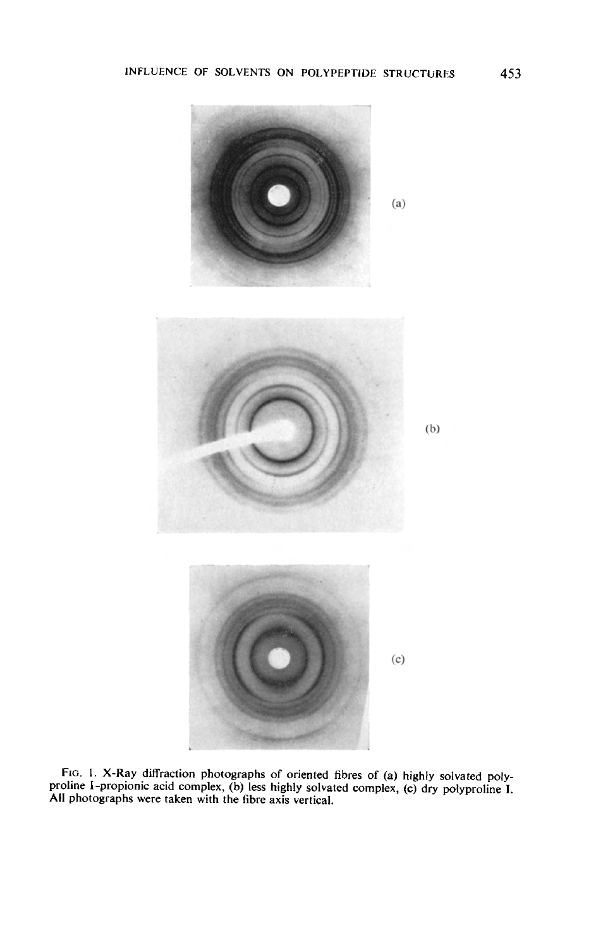

**FIG. 1. X-Ray diffraction photographs of oriented fibres of (a) highly solvated polyproline I-propionic acid complex, (b) less highly solvated complex, (c) dry polyproline I. All photographs were taken with the fibre axis vertical.**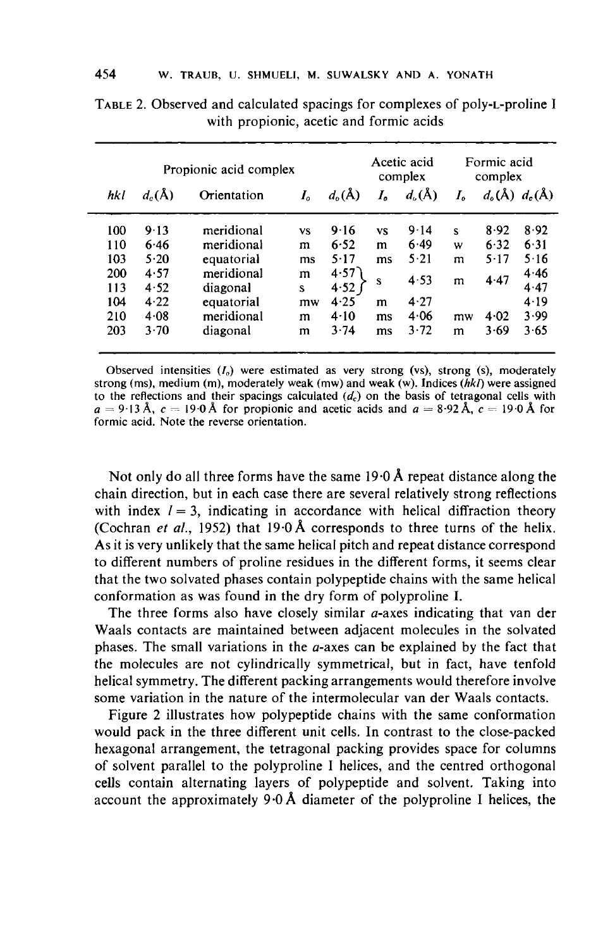|            |              | Propionic acid complex |           |                 |    | Acetic acid<br>complex |    | Formic acid<br>complex |                                 |
|------------|--------------|------------------------|-----------|-----------------|----|------------------------|----|------------------------|---------------------------------|
| hkl        | $d_c(A)$     | Orientation            | I.        | $d_o(\text{Å})$ | I, | $d_{\nu}(\hat{A})$     | I. |                        | $d_o(\text{A})$ $d_e(\text{A})$ |
| 100        | 9.13         | meridional             | <b>VS</b> | 9.16            | VS | 9.14                   | S  | 8.92                   | 8.92                            |
| 110        | 6.46         | meridional             | m         | 6.52            | m  | 6.49                   | w  | 6.32                   | 6.31                            |
| 103        | 5.20         | equatorial             | ms        | 5.17            | ms | 5.21                   | m  | $5 - 17$               | 5.16                            |
| 200<br>113 | 4.57<br>4.52 | meridional<br>diagonal | m<br>S    | 4.57<br>4.52    | s  | 4.53                   | m  | 4.47                   | 4.46<br>4.47                    |
| 104        | 4.22         | equatorial             | mw        | 4.25            | m  | 4.27                   |    |                        | 4.19                            |
| 210        | 4.08         | meridional             | m         | $4-10$          | ms | 4.06                   | mw | 4.02                   | 3.99                            |
| 203        | 3.70         | diagonal               | m         | 3.74            | ms | 3.72                   | m  | 3.69                   | 3.65                            |

TABLE 2. Observed and calculated spacings for complexes of poly-L-proline I with propionic, acetic and formic acids

**Observed intensities (/0) were estimated as very strong (vs), strong (s), moderately strong (ms), medium (m), moderately weak (mw) and weak (w). Indices** *(hkl)* **were assigned to the reflections and their spacings calculated** *(dc)* **on the basis of tetragonal cells with**   $a = 9.13 \text{ Å}$ ,  $c = 19.0 \text{ Å}$  for propionic and acetic acids and  $a = 8.92 \text{ Å}$ ,  $c = 19.0 \text{ Å}$  for **formic acid. Note the reverse orientation.** 

Not only do all three forms have the same  $19.0 \text{ Å}$  repeat distance along the chain direction, but in each case there are several relatively strong reflections with index  $l = 3$ , indicating in accordance with helical diffraction theory (Cochran *el al.,* 1952) that 19-0 A corresponds to three turns of the helix. As it is very unlikely that the same helical pitch and repeat distance correspond to different numbers of proline residues in the different forms, it seems clear that the two solvated phases contain polypeptide chains with the same helical conformation as was found in the dry form of polyproline I.

The three forms also have closely similar  $a$ -axes indicating that van der Waals contacts are maintained between adjacent molecules in the solvated phases. The small variations in the  $a$ -axes can be explained by the fact that the molecules are not cylindrically symmetrical, but in fact, have tenfold helical symmetry. The different packing arrangements would therefore involve some variation in the nature of the intermolecular van der Waals contacts.

Figure 2 illustrates how polypeptide chains with the same conformation would pack in the three different unit cells. In contrast to the close-packed hexagonal arrangement, the tetragonal packing provides space for columns of solvent parallel to the polyproline I helices, and the centred orthogonal cells contain alternating layers of polypeptide and solvent. Taking into account the approximately  $9.0 \text{ Å}$  diameter of the polyproline I helices, the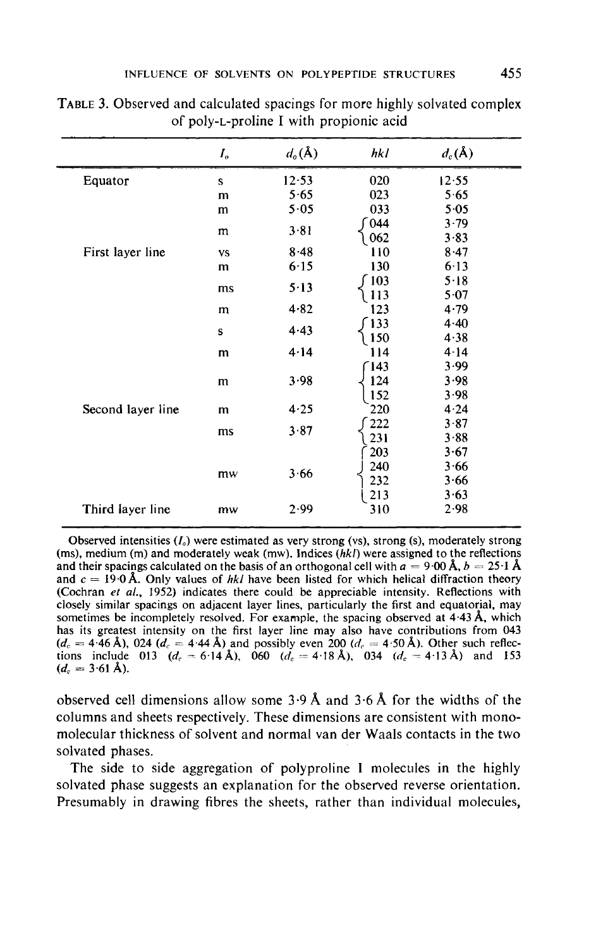|                   | $I_{o}$      | $d_o(\text{\AA})$ | hkl        | $d_c(\text{\AA})$ |  |
|-------------------|--------------|-------------------|------------|-------------------|--|
| Equator           | $\mathbf{s}$ | 12.53             | 020        | 12.55             |  |
|                   | m            | 5.65              | 023        | 5.65              |  |
|                   | m            | 5.05              | 033        | 5.05              |  |
|                   | m            | 3.81              | 044        | 3.79              |  |
| First layer line  |              | 8.48              | 062<br>110 | 3.83<br>8.47      |  |
|                   | <b>VS</b>    | 6.15              | 130        | 6.13              |  |
|                   | m            |                   | 103        | 5.18              |  |
|                   | ms           | 5.13              | 113        | 5.07              |  |
|                   |              | 4.82              | 123        | 4.79              |  |
|                   | m            |                   |            | 4.40              |  |
|                   | S            | 4.43              | 133<br>150 | $4 - 38$          |  |
|                   | m            | 4.14              | 114        | 4.14              |  |
|                   |              |                   | 143        | 3.99              |  |
|                   | m            | 3.98              | 124        | 3.98              |  |
|                   |              |                   | 152        | 3.98              |  |
| Second layer line | m            | 4.25              | 220        | 4.24              |  |
|                   |              |                   | 222        | 3.87              |  |
|                   | ms           | 3.87              | 231        | 3.88              |  |
|                   |              |                   | 203        | 3.67              |  |
|                   |              |                   | 240        | 3.66              |  |
|                   | mw           | 3.66              | 232        | 3.66              |  |
|                   |              |                   | 213        | 3.63              |  |
| Third layer line  | mw           | 2.99              | 310        | 2.98              |  |
|                   |              |                   |            |                   |  |

TABLE 3. Observed and calculated spacings for more highly solvated complex of poly-L-proline I with propionic acid

Observed intensities  $(I_0)$  were estimated as very strong (vs), strong (s), moderately strong **(ms), medium (m) and moderately weak (mw). Indices** *(hkl)* **were assigned to the reflections and their spacings calculated on the basis of an orthogonal cell with**  $a = 9.00 \text{ Å}, b = 25 \text{ A}$ and  $c = 19.0$  Å. Only values of *hkl* have been listed for which helical diffraction theory **(Cochran** *et al,* **1952) indicates there could be appreciable intensity. Reflections with closely similar spacings on adjacent layer lines, particularly the first and equatorial, may sometimes be incompletely resolved. For example, the spacing observed at 4-43 Â, which has its greatest intensity on the first layer line may also have contributions from 043**   $(d_c = 4.46 \text{ Å})$ , 024  $(d_c = 4.44 \text{ Å})$  and possibly even 200  $(d_c = 4.50 \text{ Å})$ . Other such reflec**tions** include 013  $(d_c - 6.14 \text{ Å})$ , 060  $(d_c = 4.18 \text{ Å})$ , 034  $(d_c = 4.13 \text{ Å})$  and 153  $(d_c = 3.61 \text{ Å})$ .

observed cell dimensions allow some  $3.9 \text{ Å}$  and  $3.6 \text{ Å}$  for the widths of the columns and sheets respectively. These dimensions are consistent with monomolecular thickness of solvent and normal van der Waals contacts in the two solvated phases.

The side to side aggregation of polyproline I molecules in the highly solvated phase suggests an explanation for the observed reverse orientation. Presumably in drawing fibres the sheets, rather than individual molecules,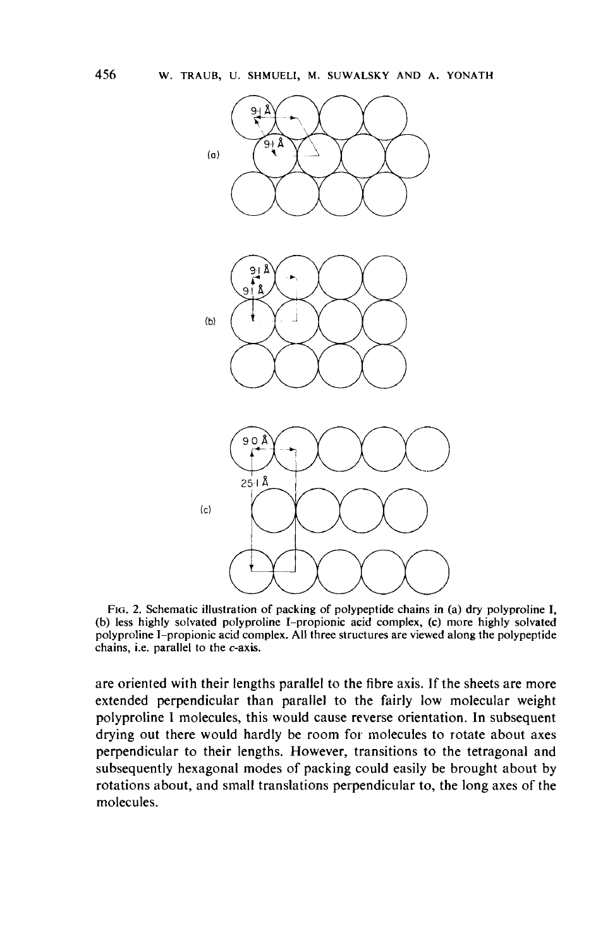

**(b) less highly solvated polyproline I-propionic acid complex, (c) more highly solvated polyproline I-propionic acid complex. All three structures are viewed along the polypeptide chains, i.e. parallel to the c-axis.** 

are oriented with their lengths parallel to the fibre axis. If the sheets are more extended perpendicular than parallel to the fairly low molecular weight polyproline I molecules, this would cause reverse orientation. In subsequent drying out there would hardly be room for molecules to rotate about axes perpendicular to their lengths. However, transitions to the tetragonal and subsequently hexagonal modes of packing could easily be brought about by rotations about, and small translations perpendicular to, the long axes of the molecules.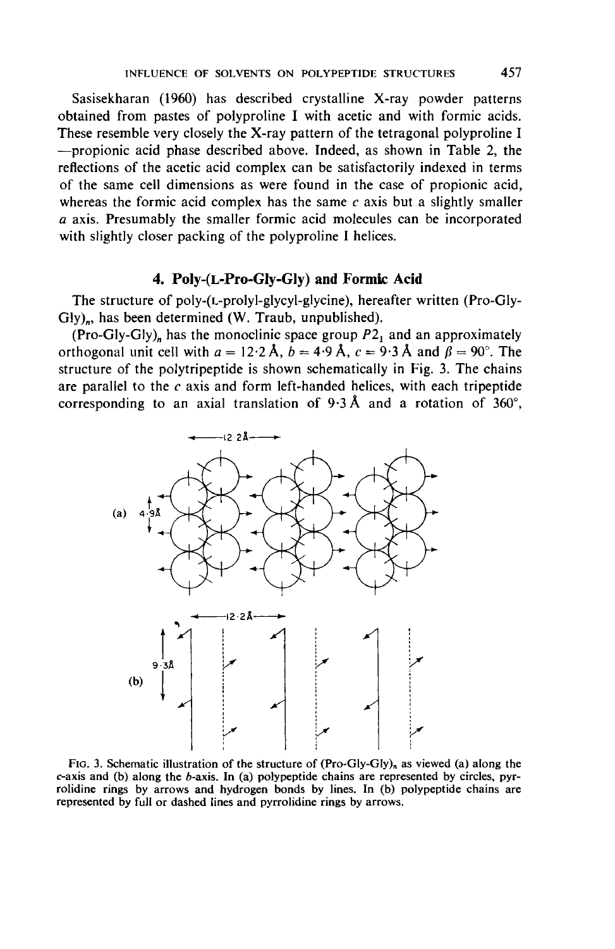Sasisekharan (1960) has described crystalline X-ray powder patterns obtained from pastes of polyproline I with acetic and with formic acids. These resemble very closely the X-ray pattern of the tetragonal polyproline I —propionic acid phase described above. Indeed, as shown in Table 2, the reflections of the acetic acid complex can be satisfactorily indexed in terms of the same cell dimensions as were found in the case of propionic acid, whereas the formic acid complex has the same *c* axis but a slightly smaller *a* axis. Presumably the smaller formic acid molecules can be incorporated with slightly closer packing of the polyproline I helices.

# **4. Poly-(L-Pro-Gly-Gly) and Formic Acid**

The structure of poly-(L-prolyl-glycyl-glycine), hereafter written (Pro-Gly- $Gly$ <sub>n</sub>, has been determined (W. Traub, unpublished).

(Pro-Gly-Gly)<sub>n</sub> has the monoclinic space group  $P2<sub>1</sub>$  and an approximately orthogonal unit cell with  $a = 12.2$  Å,  $b = 4.9$  Å,  $c = 9.3$  Å and  $\beta = 90^\circ$ . The structure of the polytripeptide is shown schematically in Fig. 3. The chains are parallel to the *c* axis and form left-handed helices, with each tripeptide corresponding to an axial translation of 9-3 Â and a rotation of 360°,



FIG. 3. Schematic illustration of the structure of (Pro-Gly-Gly)<sub>n</sub> as viewed (a) along the **c-axis and (b) along the 6-axis. In (a) polypeptide chains are represented by circles, pyrrolidine rings by arrows and hydrogen bonds by lines. In (b) polypeptide chains are represented by full or dashed lines and pyrrolidine rings by arrows.**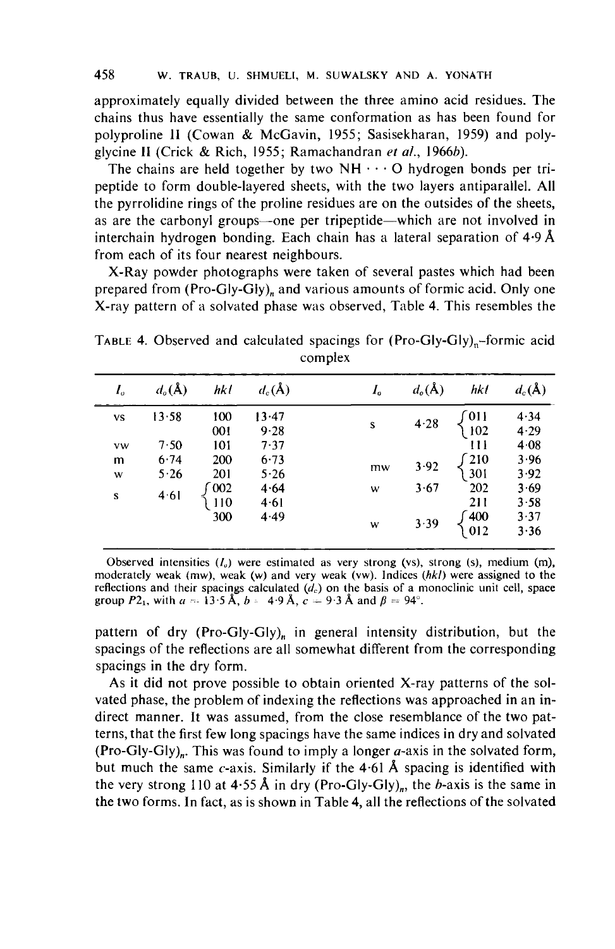approximately equally divided between the three amino acid residues. The chains thus have essentially the same conformation as has been found for polyproline II (Cowan & McGavin, 1955; Sasisekharan, 1959) and polyglycine II (Crick & Rich, 1955; Ramachandran *et al,* 19666).

The chains are held together by two  $NH \cdots$  O hydrogen bonds per tripeptide to form double-layered sheets, with the two layers antiparallel. All the pyrrolidine rings of the proline residues are on the outsides of the sheets, as are the carbonyl groups—one per tripeptide—which are not involved in interchain hydrogen bonding. Each chain has a lateral separation of 4-9 Â from each of its four nearest neighbours.

X-Ray powder photographs were taken of several pastes which had been prepared from (Pro-Gly-Gly), and various amounts of formic acid. Only one X-ray pattern of a solvated phase was observed, Table 4. This resembles the

| $I_{o}$   | $d_o(\text{\AA})$ | hkl               | $d_c(\AA)$           | $I_{a}$ | $d_o(\text{\AA})$ | hkl                                                            | $d_c(\text{\AA})$            |
|-----------|-------------------|-------------------|----------------------|---------|-------------------|----------------------------------------------------------------|------------------------------|
| <b>VS</b> | 13.58             | 100<br>001        | 13.47<br>9.28        | S       | 4.28              | $\left\{\begin{array}{l} 011 \\ 102 \\ 111 \end{array}\right.$ | 4.34<br>4.29                 |
| vw        | 7.50              | 101               | 7.37                 |         |                   |                                                                | 4.08                         |
| m         | 6.74              | 200               | 6.73                 | mw      | 3.92              | $\begin{cases} 210 \\ 301 \end{cases}$                         | 3.96                         |
| W         | 5.26              | 201               | 5.26                 |         |                   |                                                                | 3.92                         |
| S         | 4.61              | 002<br>110<br>300 | 4.64<br>4.61<br>4.49 | w<br>W  | 3.67<br>$3.39$    | 202<br>211<br>$\begin{cases} 400 \\ 012 \end{cases}$           | 3.69<br>3.58<br>3.37<br>3.36 |

TABLE 4. Observed and calculated spacings for  $(Pro-Gly-Gly)_{n}$ -formic acid complex

**Observed intensities (/u) were estimated as very strong (vs), strong (s), medium (m), moderately weak (mw), weak (w) and very weak (vw). Indices** *{hkl)* **were assigned to the reflections and their spacings calculated** *(dc)* **on the basis of a monoclinic unit cell, space group**  $P2_1$ , with  $a = 13.5$  Å,  $b = 4.9$  Å,  $c = 9.3$  Å and  $\beta = 94^\circ$ .

pattern of dry (Pro-Gly-Gly)<sub>n</sub> in general intensity distribution, but the spacings of the reflections are all somewhat different from the corresponding spacings in the dry form.

As it did not prove possible to obtain oriented X-ray patterns of the solvated phase, the problem of indexing the reflections was approached in an indirect manner. It was assumed, from the close resemblance of the two patterns, that the first few long spacings have the same indices in dry and solvated (Pro-Gly-Gly)<sub>n</sub>. This was found to imply a longer  $a$ -axis in the solvated form, but much the same  $c$ -axis. Similarly if the 4.61 Å spacing is identified with the very strong 110 at 4.55 Å in dry (Pro-Gly-Gly)<sub>n</sub>, the *b*-axis is the same in the two forms. In fact, as is shown in Table 4, all the reflections of the solvated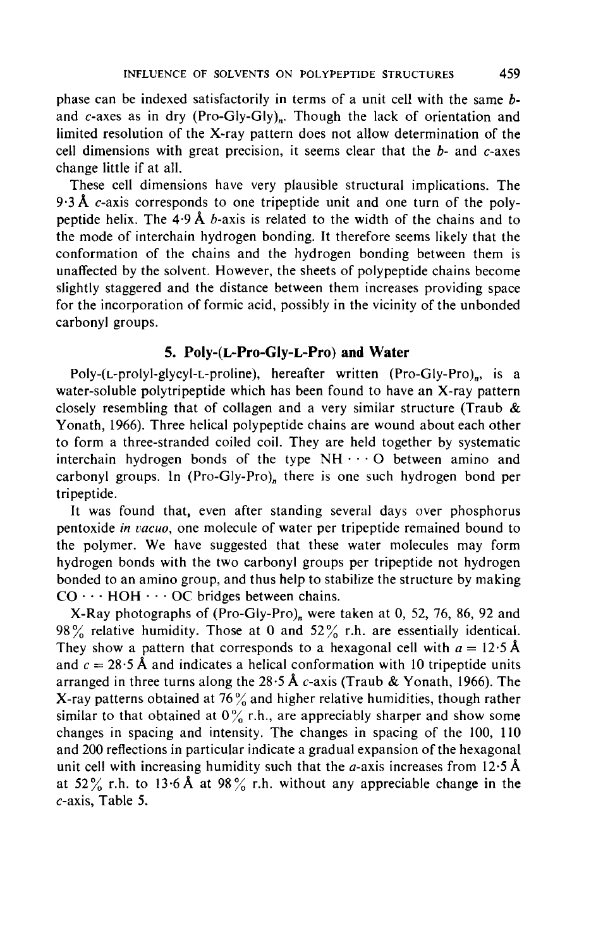phase can be indexed satisfactorily in terms of a unit cell with the same *b*and c-axes as in dry  $(Pro-Gly-Gly)_n$ . Though the lack of orientation and limited resolution of the X-ray pattern does not allow determination of the cell dimensions with great precision, it seems clear that the *b*- and *c*-axes change little if at all.

These cell dimensions have very plausible structural implications. The 9.3 Å c-axis corresponds to one tripeptide unit and one turn of the polypeptide helix. The 4.9 Å b-axis is related to the width of the chains and to the mode of interchain hydrogen bonding. It therefore seems likely that the conformation of the chains and the hydrogen bonding between them is unaffected by the solvent. However, the sheets of polypeptide chains become slightly staggered and the distance between them increases providing space for the incorporation of formic acid, possibly in the vicinity of the unbonded carbonyl groups.

#### **5. Poly-(L-Pro-Gly-L-Pro) and Water**

Poly-(L-prolyl-glycyl-L-proline), hereafter written (Pro-Gly-Pro)<sub>n</sub>, is a water-soluble polytripeptide which has been found to have an X-ray pattern closely resembling that of collagen and a very similar structure (Traub  $\&$ Yonath, 1966). Three helical polypeptide chains are wound about each other to form a three-stranded coiled coil. They are held together by systematic interchain hydrogen bonds of the type  $NH \cdots$  O between amino and carbonyl groups. In  $(Pro-Gly-Pro)$ , there is one such hydrogen bond per tripeptide.

It was found that, even after standing several days over phosphorus pentoxide *in vacuo,* one molecule of water per tripeptide remained bound to the polymer. We have suggested that these water molecules may form hydrogen bonds with the two carbonyl groups per tripeptide not hydrogen bonded to an amino group, and thus help to stabilize the structure by making  $CO \cdot \cdot \cdot$  HOH  $\cdot \cdot \cdot$  OC bridges between chains.

X-Ray photographs of  $(Pro-Gly-Pro)_{n}$  were taken at 0, 52, 76, 86, 92 and 98% relative humidity. Those at 0 and 52% r.h. are essentially identical. They show a pattern that corresponds to a hexagonal cell with  $a = 12.5 \text{ Å}$ and  $c = 28.5$  Å and indicates a helical conformation with 10 tripeptide units arranged in three turns along the 28.5 Å c-axis (Traub & Yonath, 1966). The X-ray patterns obtained at 76 $\frac{9}{6}$  and higher relative humidities, though rather similar to that obtained at  $0\frac{9}{6}$  r.h., are appreciably sharper and show some changes in spacing and intensity. The changes in spacing of the 100, 110 and 200 reflections in particular indicate a gradual expansion of the hexagonal unit cell with increasing humidity such that the *a*-axis increases from 12.5 Å at 52% r.h. to 13.6 Å at 98% r.h. without any appreciable change in the c-axis, Table 5.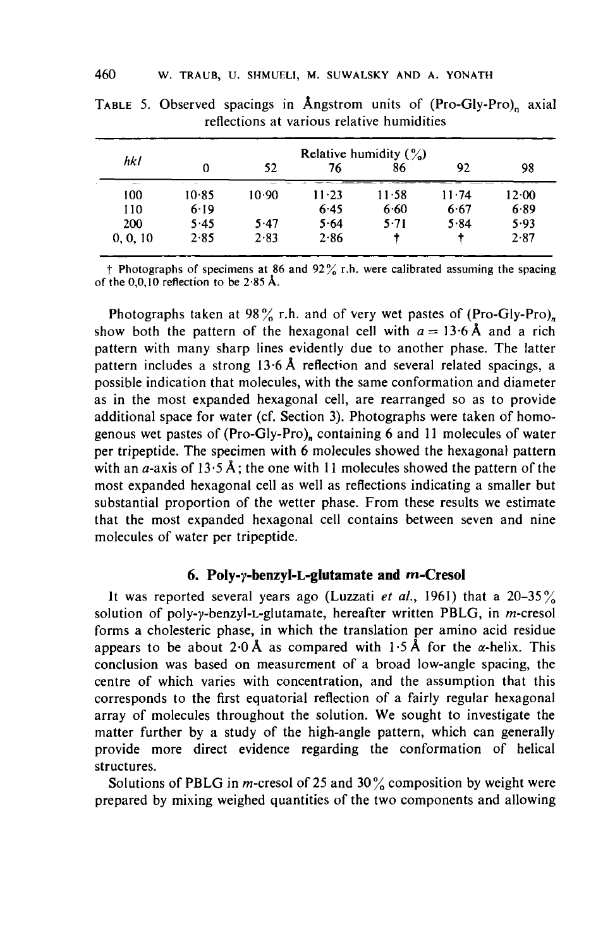|            | Relative humidity $(\%)$ |       |           |       |           |       |  |  |
|------------|--------------------------|-------|-----------|-------|-----------|-------|--|--|
| hkl        |                          | 52    | 76        | 86    | 92        | 98    |  |  |
| ---<br>100 | ш.<br>10.85              | 10.90 | $11 - 23$ | 11.58 | $11 - 74$ | 12.00 |  |  |
| 110        | 6.19                     |       | 6.45      | 6.60  | 6.67      | 6.89  |  |  |
| <b>200</b> | 5.45                     | 5.47  | 5.64      | 5.71  | 5.84      | 5.93  |  |  |
| 0, 0, 10   | 2.85                     | 2.83  | 2.86      |       |           | 2.87  |  |  |

TABLE 5. Observed spacings in Angstrom units of  $(Pro-Gly-Pro)_{n}$  axial reflections at various relative humidities

**t Photographs of specimens at 86 and 92% r.h. were calibrated assuming the spacing of the 0,0,10 reflection to be 2-85 À.** 

Photographs taken at 98% r.h. and of very wet pastes of (Pro-Gly-Pro)<sub>n</sub> show both the pattern of the hexagonal cell with  $a=13.6 \text{ Å}$  and a rich pattern with many sharp lines evidently due to another phase. The latter pattern includes a strong 13-6 Â reflection and several related spacings, a possible indication that molecules, with the same conformation and diameter as in the most expanded hexagonal cell, are rearranged so as to provide additional space for water (cf. Section 3). Photographs were taken of homogenous wet pastes of  $(Pro-Gly-Pro)_{n}$  containing 6 and 11 molecules of water per tripeptide. The specimen with 6 molecules showed the hexagonal pattern with an *a*-axis of 13.5 Å; the one with 11 molecules showed the pattern of the most expanded hexagonal cell as well as reflections indicating a smaller but substantial proportion of the wetter phase. From these results we estimate that the most expanded hexagonal cell contains between seven and nine molecules of water per tripeptide.

# **6. Poly-y-benzyl-L-glutamate and m-Cresol**

It was reported several years ago (Luzzati *et al,* 1961) that a 20-35% solution of poly-y-benzyl-t-glutamate, hereafter written PBLG, in m-cresol forms a cholesteric phase, in which the translation per amino acid residue appears to be about 2.0 Å as compared with  $1.5 \text{ Å}$  for the  $\alpha$ -helix. This conclusion was based on measurement of a broad low-angle spacing, the centre of which varies with concentration, and the assumption that this corresponds to the first equatorial reflection of a fairly regular hexagonal array of molecules throughout the solution. We sought to investigate the matter further by a study of the high-angle pattern, which can generally provide more direct evidence regarding the conformation of helical structures.

Solutions of PBLG in *m*-cresol of 25 and 30 $\%$  composition by weight were prepared by mixing weighed quantities of the two components and allowing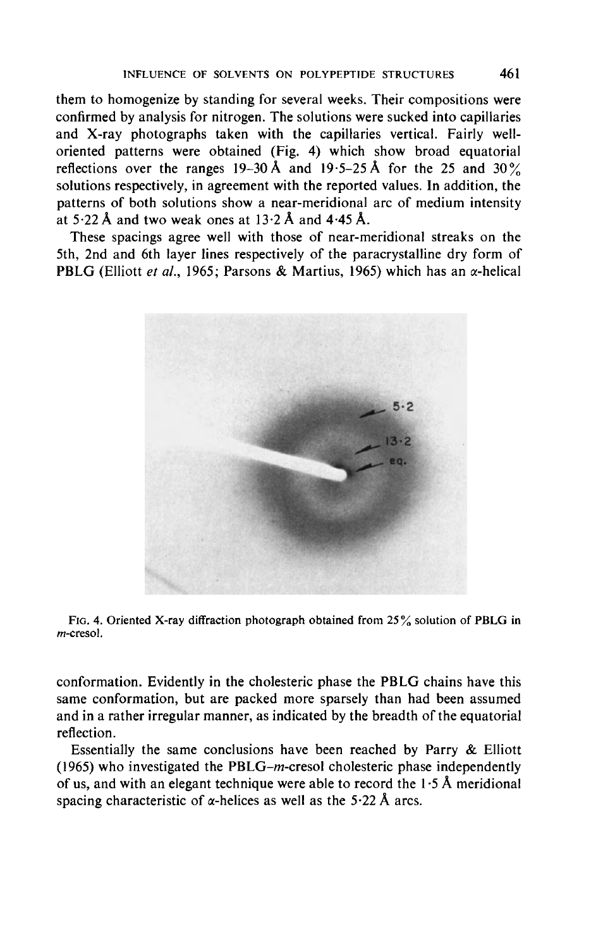them to homogenize by standing for several weeks. Their compositions were confirmed by analysis for nitrogen. The solutions were sucked into capillaries and X-ray photographs taken with the capillaries vertical. Fairly welloriented patterns were obtained (Fig. 4) which show broad equatorial reflections over the ranges 19-30 Å and 19.5-25 Å for the 25 and 30% solutions respectively, in agreement with the reported values. In addition, the patterns of both solutions show a near-meridional arc of medium intensity at  $5.22 \text{ Å}$  and two weak ones at  $13.2 \text{ Å}$  and  $4.45 \text{ Å}$ .

These spacings agree well with those of near-meridional streaks on the 5th, 2nd and 6th layer lines respectively of the paracrystalline dry form of PBLG (Elliott et al., 1965; Parsons & Martius, 1965) which has an  $\alpha$ -helical



**FIG. 4. Oriented X-ray diffraction photograph obtained from 25** *%* **solution of PBLG in w-cresol.** 

conformation. Evidently in the cholesteric phase the PBLG chains have this same conformation, but are packed more sparsely than had been assumed and in a rather irregular manner, as indicated by the breadth of the equatorial reflection.

Essentially the same conclusions have been reached by Parry & Elliott  $(1965)$  who investigated the PBLG-m-cresol cholesteric phase independently of us, and with an elegant technique were able to record the  $1.5 \text{ Å}$  meridional spacing characteristic of  $\alpha$ -helices as well as the 5.22 Å arcs.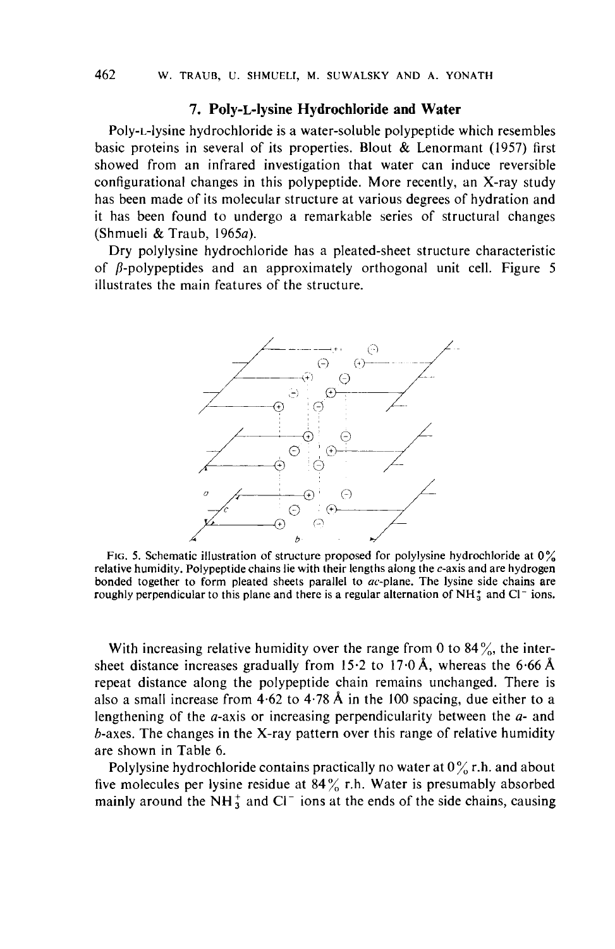#### **7. Poly-L-Iysine Hydrochloride and Water**

Poly-L-lysine hydrochloride is a water-soluble polypeptide which resembles basic proteins in several of its properties. Blout & Lenormant (1957) first showed from an infrared investigation that water can induce reversible configurational changes in this polypeptide. More recently, an X-ray study has been made of its molecular structure at various degrees of hydration and it has been found to undergo a remarkable series of structural changes (Shmueli & Traub, 1965a).

Dry polylysine hydrochloride has a pleated-sheet structure characteristic of  $\beta$ -polypeptides and an approximately orthogonal unit cell. Figure 5 illustrates the main features of the structure.



**FIG. 5. Schematic illustration of structure proposed for polylysine hydrochloride at 0% relative humidity. Polypeptide chains lie with their lengths along the c-axis and are hydrogen**  bonded together to form pleated sheets parallel to *ac*-plane. The lysine side chains are roughly perpendicular to this plane and there is a regular alternation of  $NH_3^+$  and  $Cl^-$  ions.

With increasing relative humidity over the range from 0 to  $84\%$ , the intersheet distance increases gradually from 15-2 to 17-0 Λ, whereas the 6-66 Â repeat distance along the polypeptide chain remains unchanged. There is also a small increase from  $4.62$  to  $4.78$  Å in the 100 spacing, due either to a lengthening of the α-axis or increasing perpendicularity between the *a-* and  $b$ -axes. The changes in the X-ray pattern over this range of relative humidity are shown in Table 6.

Polylysine hydrochloride contains practically no water at  $0\frac{9}{6}$  r.h. and about five molecules per lysine residue at  $84\%$  r.h. Water is presumably absorbed mainly around the NH<sub>3</sub> and Cl<sup>-</sup> ions at the ends of the side chains, causing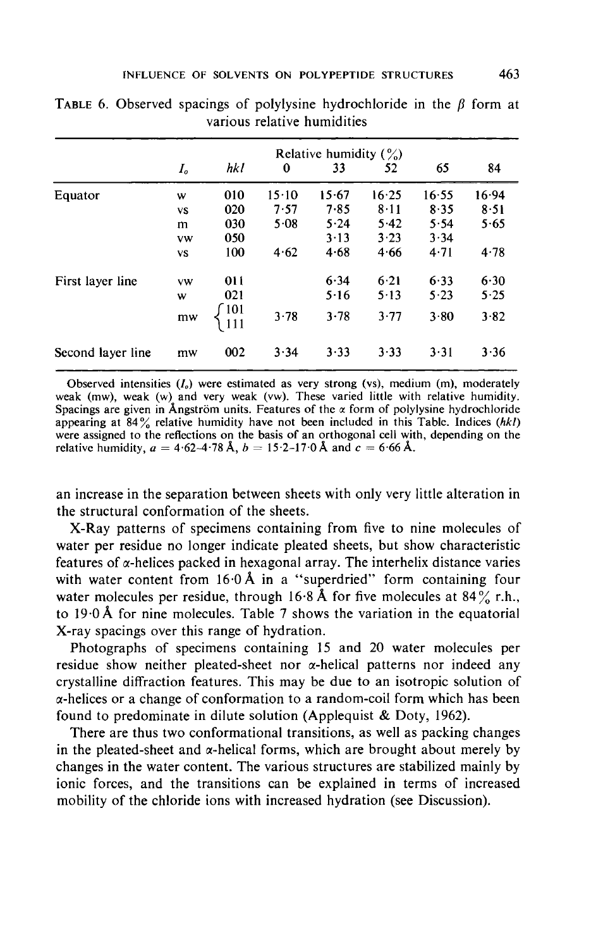|                   | Relative humidity $(\frac{6}{6})$ |            |       |       |       |       |       |
|-------------------|-----------------------------------|------------|-------|-------|-------|-------|-------|
|                   | $I_{o}$                           | hkl        | 0     | 33    | 52    | 65    | 84    |
| Equator           | w                                 | 010        | 15.10 | 15.67 | 16.25 | 16.55 | 16.94 |
|                   | VS                                | 020        | 7.57  | 7.85  | 8.11  | 8.35  | 8.51  |
|                   | m                                 | 030        | 5.08  | 5.24  | 5.42  | 5.54  | 5.65  |
|                   | vw                                | 050        |       | 3.13  | 3.23  | 3.34  |       |
|                   | VS                                | 100        | 4.62  | 4.68  | 4.66  | 4.71  | 4.78  |
| First layer line  | vw                                | 011        |       | 6.34  | 6.21  | 6.33  | 6.30  |
|                   | w                                 | 021        |       | 5.16  | 5.13  | 5.23  | 5.25  |
|                   | mw                                | 101<br>111 | 3.78  | 3.78  | 3.77  | 3.80  | 3.82  |
| Second layer line | mw                                | 002        | 3.34  | 3.33  | 3.33  | 3.31  | 3.36  |

TABLE 6. Observed spacings of polylysine hydrochloride in the *ß* form at various relative humidities

**Observed intensities (/0) were estimated as very strong (vs), medium (m), moderately weak (mw), weak (w) and very weak (vw). These varied little with relative humidity.**  Spacings are given in Angström units. Features of the  $\alpha$  form of polylysine hydrochloride **appearing at 84% relative humidity have not been included in this Table. Indices** *{hkl)*  **were assigned to the reflections on the basis of an orthogonal cell with, depending on the relative humidity,**  $a = 4.62 - 4.78$  Å,  $b = 15.2 - 17.0$  Å and  $c = 6.66$  Å.

an increase in the separation between sheets with only very little alteration in the structural conformation of the sheets.

X-Ray patterns of specimens containing from five to nine molecules of water per residue no longer indicate pleated sheets, but show characteristic features of  $\alpha$ -helices packed in hexagonal array. The interhelix distance varies with water content from  $16·0$  Å in a "superdried" form containing four water molecules per residue, through 16.8 Å for five molecules at  $84\%$  r.h., to 19-0 Â for nine molecules. Table 7 shows the variation in the equatorial X-ray spacings over this range of hydration.

Photographs of specimens containing 15 and 20 water molecules per residue show neither pleated-sheet nor a-helical patterns nor indeed any crystalline diffraction features. This may be due to an isotropie solution of a-helices or a change of conformation to a random-coil form which has been found to predominate in dilute solution (Applequist & Doty, 1962).

There are thus two conformational transitions, as well as packing changes in the pleated-sheet and  $\alpha$ -helical forms, which are brought about merely by changes in the water content. The various structures are stabilized mainly by ionic forces, and the transitions can be explained in terms of increased mobility of the chloride ions with increased hydration (see Discussion).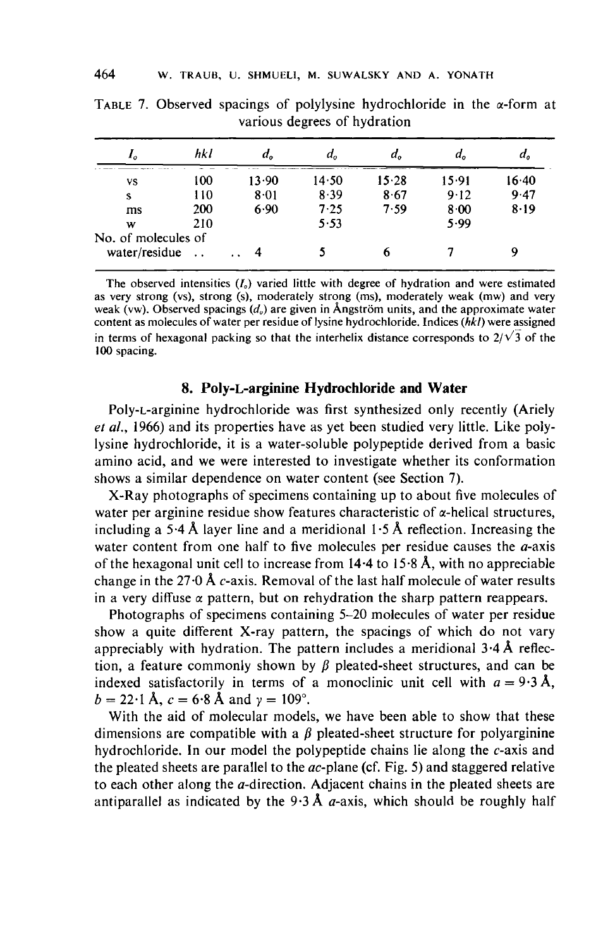| $I_{\alpha}$        | hkl                  | a,                   | a.    | a.    | a.    | a,       |
|---------------------|----------------------|----------------------|-------|-------|-------|----------|
| VS                  | 100                  | 13.90                | 14.50 | 15.28 | 15.91 | 16.40    |
| S                   | 110                  | 8.01                 | 8.39  | 8.67  | 9.12  | 9.47     |
| ms                  | 200                  | 6.90                 | 7.25  | 7.59  | 8.00  | $8 - 19$ |
| w                   | 210                  |                      | 5.53  |       | 5.99  |          |
| No. of molecules of |                      |                      |       |       |       |          |
| water/residue       | $\ddot{\phantom{0}}$ | $\ddot{\phantom{1}}$ |       |       |       |          |

TABLE 7. Observed spacings of polylysine hydrochloride in the  $\alpha$ -form at various degrees of hydration

**The observed intensities (/0) varied little with degree of hydration and were estimated as very strong (vs), strong (s), moderately strong (ms), moderately weak (mw) and very weak (vw). Observed spacings** *(d0)* **are given in Angstrom units, and the approximate water content as molecules of water per residue of lysine hydrochloride. Indices** *(hkl)* **were assigned**  in terms of hexagonal packing so that the interhelix distance corresponds to  $2/\sqrt{3}$  of the **100 spacing.** 

### **8. Poly-L-arginine Hydrochloride and Water**

Poly-L-arginine hydrochloride was first synthesized only recently (Ariely *et al.,* 1966) and its properties have as yet been studied very little. Like polylysine hydrochloride, it is a water-soluble polypeptide derived from a basic amino acid, and we were interested to investigate whether its conformation shows a similar dependence on water content (see Section 7).

X-Ray photographs of specimens containing up to about five molecules of water per arginine residue show features characteristic of  $\alpha$ -helical structures, including a 5.4 Å layer line and a meridional 1.5 Å reflection. Increasing the water content from one half to five molecules per residue causes the  $a$ -axis of the hexagonal unit cell to increase from 14-4 to 15-8 Λ, with no appreciable change in the 27.0 Å c-axis. Removal of the last half molecule of water results in a very diffuse  $\alpha$  pattern, but on rehydration the sharp pattern reappears.

Photographs of specimens containing 5-20 molecules of water per residue show a quite different X-ray pattern, the spacings of which do not vary appreciably with hydration. The pattern includes a meridional  $3.4 \text{ Å}$  reflection, a feature commonly shown by  $\beta$  pleated-sheet structures, and can be indexed satisfactorily in terms of a monoclinic unit cell with  $a = 9.3 \text{ Å}$ ,  $b = 22.1$  Å,  $c = 6.8$  Å and  $\gamma = 109^{\circ}$ .

With the aid of molecular models, we have been able to show that these dimensions are compatible with a *ß* pleated-sheet structure for polyarginine hydrochloride. In our model the polypeptide chains lie along the c-axis and the pleated sheets are parallel to the  $ac$ -plane (cf. Fig. 5) and staggered relative to each other along the a-direction. Adjacent chains in the pleated sheets are antiparallel as indicated by the  $9.3 \text{ Å}$  a-axis, which should be roughly half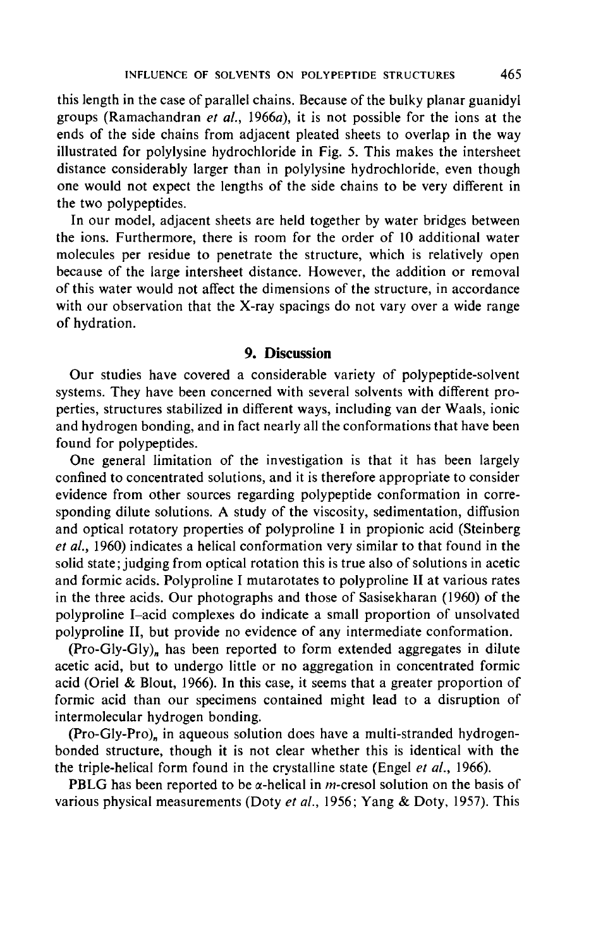this length in the case of parallel chains. Because of the bulky planar guanidyl groups (Ramachandran *et al,* 1966α), it is not possible for the ions at the ends of the side chains from adjacent pleated sheets to overlap in the way illustrated for polylysine hydrochloride in Fig. 5. This makes the intersheet distance considerably larger than in polylysine hydrochloride, even though one would not expect the lengths of the side chains to be very different in the two polypeptides.

In our model, adjacent sheets are held together by water bridges between the ions. Furthermore, there is room for the order of 10 additional water molecules per residue to penetrate the structure, which is relatively open because of the large intersheet distance. However, the addition or removal of this water would not affect the dimensions of the structure, in accordance with our observation that the X-ray spacings do not vary over a wide range of hydration.

### **9. Discussion**

Our studies have covered a considerable variety of polypeptide-solvent systems. They have been concerned with several solvents with different properties, structures stabilized in different ways, including van der Waals, ionic and hydrogen bonding, and in fact nearly all the conformations that have been found for polypeptides.

One general limitation of the investigation is that it has been largely confined to concentrated solutions, and it is therefore appropriate to consider evidence from other sources regarding polypeptide conformation in corresponding dilute solutions. A study of the viscosity, sedimentation, diffusion and optical rotatory properties of polyproline I in propionic acid (Steinberg *et al,* 1960) indicates a helical conformation very similar to that found in the solid state; judging from optical rotation this is true also of solutions in acetic and formic acids. Polyproline I mutarotates to polyproline II at various rates in the three acids. Our photographs and those of Sasisekharan (1960) of the polyproline I-acid complexes do indicate a small proportion of unsolvated polyproline II, but provide no evidence of any intermediate conformation.

(Pro-Gly-Gly), has been reported to form extended aggregates in dilute acetic acid, but to undergo little or no aggregation in concentrated formic acid (Oriel & Blout, 1966). In this case, it seems that a greater proportion of formic acid than our specimens contained might lead to a disruption of intermolecular hydrogen bonding.

 $(Pro-Gly-Pro)$ , in aqueous solution does have a multi-stranded hydrogenbonded structure, though it is not clear whether this is identical with the the triple-helical form found in the crystalline state (Engel *et al.,* 1966).

PBLG has been reported to be  $\alpha$ -helical in *m*-cresol solution on the basis of various physical measurements (Doty *et ai,* 1956; Yang & Doty, 1957). This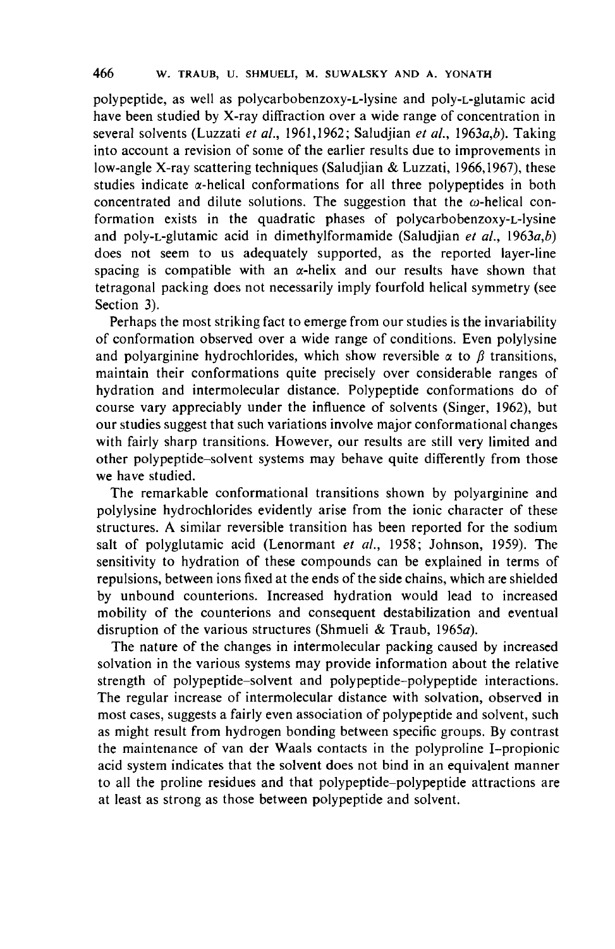polypeptide, as well as polycarbobenzoxy-L-lysine and poly-L-glutamic acid have been studied by X-ray diffraction over a wide range of concentration in several solvents (Luzzati et al., 1961,1962; Saludiian et al., 1963a,b). Taking into account a revision of some of the earlier results due to improvements in low-angle X-ray scattering techniques (Saludjian & Luzzati, 1966,1967), these studies indicate  $\alpha$ -helical conformations for all three polypeptides in both concentrated and dilute solutions. The suggestion that the  $\omega$ -helical conformation exists in the quadratic phases of polycarbobenzoxy-L-lysine and poly-L-glutamic acid in dimethylformamide (Saludjian et al., 1963a,b) does not seem to us adequately supported, as the reported layer-line spacing is compatible with an  $\alpha$ -helix and our results have shown that tetragonal packing does not necessarily imply fourfold helical symmetry (see Section 3).

Perhaps the most striking fact to emerge from our studies is the invariability of conformation observed over a wide range of conditions. Even polylysine and polyarginine hydrochlorides, which show reversible a to *β* transitions, maintain their conformations quite precisely over considerable ranges of hydration and intermolecular distance. Polypeptide conformations do of course vary appreciably under the influence of solvents (Singer, 1962), but our studies suggest that such variations involve major conformational changes with fairly sharp transitions. However, our results are still very limited and other polypeptide-solvent systems may behave quite differently from those we have studied.

The remarkable conformational transitions shown by polyarginine and polylysine hydrochlorides evidently arise from the ionic character of these structures. A similar reversible transition has been reported for the sodium salt of polyglutamic acid (Lenormant *et al.,* 1958; Johnson, 1959). The sensitivity to hydration of these compounds can be explained in terms of repulsions, between ions fixed at the ends of the side chains, which are shielded by unbound counterions. Increased hydration would lead to increased mobility of the counterions and consequent destabilization and eventual disruption of the various structures (Shmueli & Traub, 1965a).

The nature of the changes in intermolecular packing caused by increased solvation in the various systems may provide information about the relative strength of polypeptide-solvent and polypeptide-polypeptide interactions. The regular increase of intermolecular distance with solvation, observed in most cases, suggests a fairly even association of polypeptide and solvent, such as might result from hydrogen bonding between specific groups. By contrast the maintenance of van der Waals contacts in the polyproline I-propionic acid system indicates that the solvent does not bind in an equivalent manner to all the proline residues and that polypeptide-polypeptide attractions are at least as strong as those between polypeptide and solvent.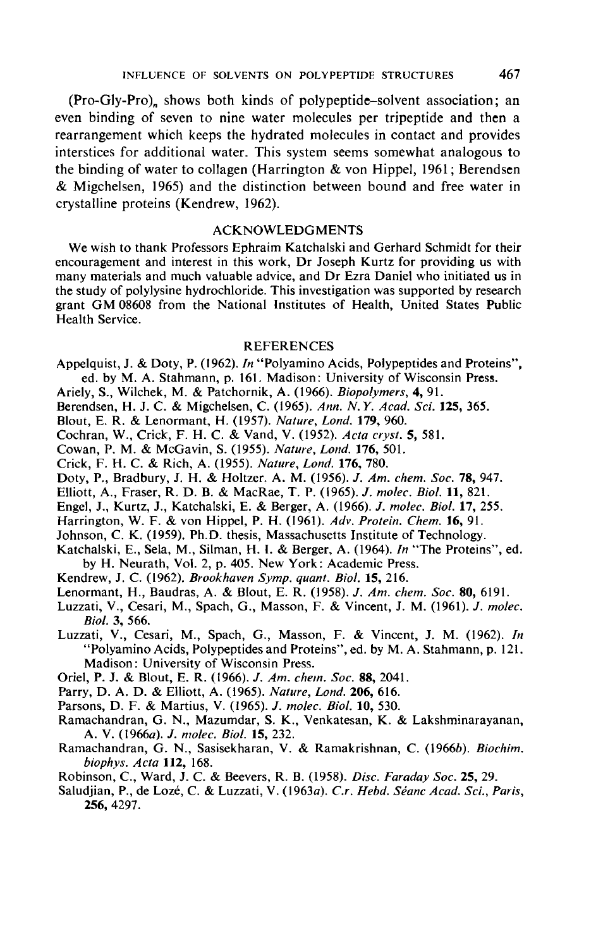$(Pro-Gly-Pro)$ , shows both kinds of polypeptide-solvent association; an even binding of seven to nine water molecules per tripeptide and then a rearrangement which keeps the hydrated molecules in contact and provides interstices for additional water. This system seems somewhat analogous to the binding of water to collagen (Harrington & von Hippel, 1961 ; Berendsen & Migchelsen, 1965) and the distinction between bound and free water in crystalline proteins (Kendrew, 1962).

#### **ACKNOWLEDGMENTS**

We wish to thank Professors Ephraim Katchalski and Gerhard Schmidt for their encouragement and interest in this work, Dr Joseph Kurtz for providing us with many materials and much valuable advice, and Dr Ezra Daniel who initiated us in the study of polylysine hydrochloride. This investigation was supported by research grant GM 08608 from the National Institutes of Health, United States Public Health Service.

#### REFERENCES

- Appelquist, J. & Doty, P. (1962). *In* "Polyamino Acids, Polypeptides and Proteins", ed. by M. A. Stahmann, p. 161. Madison: University of Wisconsin Press.
- Ariely, S., Wilchek, M. & Patchornik, A. (1966). *Biopolymers,* 4, 91.
- Berendsen, H. J. C. & Migchelsen, C (1965). *Ann. NY. Acad. Sci.* **125,** 365.
- Blout, E. R. & Lenormant, H. (1957). *Nature, Lond.* **179,** 960.
- Cochran, W., Crick, F. H. C. & Vand, V. (1952). *Acta cryst.* 5, 581.
- Cowan, P. M. & McGavin, S. (1955). *Nature, Lond.* **176,** 501.
- Crick, F. H. C. & Rich, A. (1955). *Nature, Lond.* **176,** 780.
- Doty, P., Bradbury, J. H. & Holtzer. A. M. (1956). /. *Am. chem. Soc.* 78, 947.
- Elliott, A., Fraser, R. D. B. & MacRae, T. P. (1965). /. *molee. Biol.* **11,** 821.
- Engel, J., Kurtz, J., Katchalski, E. & Berger, A. (1966). /. *molec. Biol.* **17,** 255.
- Harrington, W. F. & von Hippel, P. H. (1961). *Adv. Protein. Chem.* **16,** 91.
- Johnson, C. K. (1959). Ph.D. thesis, Massachusetts Institute of Technology.
- Katchalski, E., Sela, M., Silman, H. I. & Berger, A. (1964). *In* "The Proteins", ed. by H. Neurath, Vol. 2, p. 405. New York: Academic Press.
- Kendrew, J. C. (1962). *Brookhaven Symp. quant. Biol.* **15,** 216.
- Lenormant, H., Baudras, A. & Blout, E. R. (1958). /. *Am. chem. Soc.* 80, 6191.
- Luzzati, V., Cesari, M., Spach, G., Masson, F. & Vincent, J. M. (1961). *J. molec. Biol.* 3, 566.
- Luzzati, V., Cesari, M., Spach, G., Masson, F. & Vincent, J. M. (1962). *In*  "Polyamino Acids, Polypeptides and Proteins", ed. by M. A. Stahmann, p. 121. Madison: University of Wisconsin Press.
- Oriel, P. J. & Blout, E. R. (1966). /. *Am. chem. Soc.* 88, 2041.
- Parry, D. A. D. & Elliott, A. (1965). *Nature, Lond.* **206,** 616.
- Parsons, D. F. & Martius, V. (1965). /. *molec. Biol.* **10,** 530.
- Ramachandran, G. N., Mazumdar, S. K., Venkatesan, K. & Lakshminarayanan, A. V. (1966a). /. *molec. Biol.* **15,** 232.
- Ramachandran, G. N., Sasisekharan, V. & Ramakrishnan, C. (19666). *Biochim. biophys. Acta* **112, 168.**
- Robinson, C , Ward, J. C. & Beevers, R. B. (1958). *Disc. Faraday Soc.* **25,** 29.
- Saludjian, P., de Lozé, C. & Luzzati, V. (1963α). *C.r. Hebd. Séanc Acad. Sci., Paris,*  **256,** 4297.